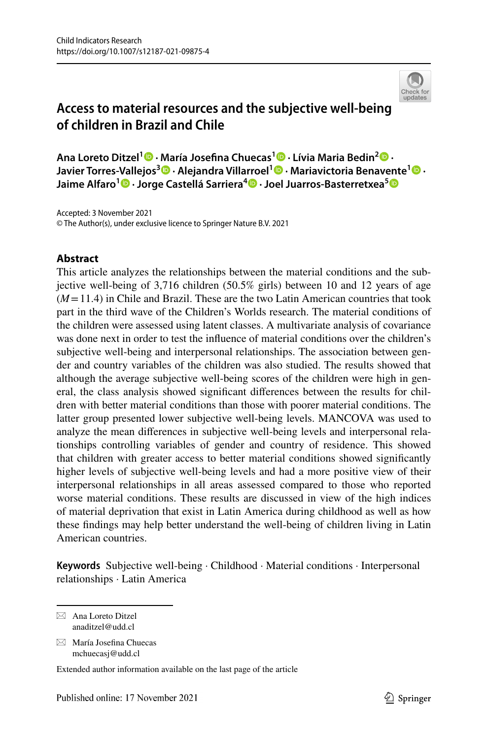

# **Access to material resources and the subjective well‑being of children in Brazil and Chile**

**Ana Loreto Ditzel<sup>1</sup> · María Josefna Chuecas1 · Lívia Maria Bedin2 · Javier Torres‑Vallejos<sup>3</sup> · Alejandra Villarroel1 · Mariavictoria Benavente1 · Jaime Alfaro<sup>1</sup> · Jorge Castellá Sarriera<sup>4</sup>  [·](http://orcid.org/0000-0001-8297-4957) Joel Juarros‑Basterretxea[5](http://orcid.org/0000-0002-7739-5421)**

Accepted: 3 November 2021 © The Author(s), under exclusive licence to Springer Nature B.V. 2021

# **Abstract**

This article analyzes the relationships between the material conditions and the subjective well-being of 3,716 children (50.5% girls) between 10 and 12 years of age (*M*=11.4) in Chile and Brazil. These are the two Latin American countries that took part in the third wave of the Children's Worlds research. The material conditions of the children were assessed using latent classes. A multivariate analysis of covariance was done next in order to test the infuence of material conditions over the children's subjective well-being and interpersonal relationships. The association between gender and country variables of the children was also studied. The results showed that although the average subjective well-being scores of the children were high in general, the class analysis showed signifcant diferences between the results for children with better material conditions than those with poorer material conditions. The latter group presented lower subjective well-being levels. MANCOVA was used to analyze the mean diferences in subjective well-being levels and interpersonal relationships controlling variables of gender and country of residence. This showed that children with greater access to better material conditions showed signifcantly higher levels of subjective well-being levels and had a more positive view of their interpersonal relationships in all areas assessed compared to those who reported worse material conditions. These results are discussed in view of the high indices of material deprivation that exist in Latin America during childhood as well as how these fndings may help better understand the well-being of children living in Latin American countries.

**Keywords** Subjective well-being · Childhood · Material conditions · Interpersonal relationships · Latin America

 $\boxtimes$  Ana Loreto Ditzel anaditzel@udd.cl

 $\boxtimes$  María Josefina Chuecas mchuecasj@udd.cl

Extended author information available on the last page of the article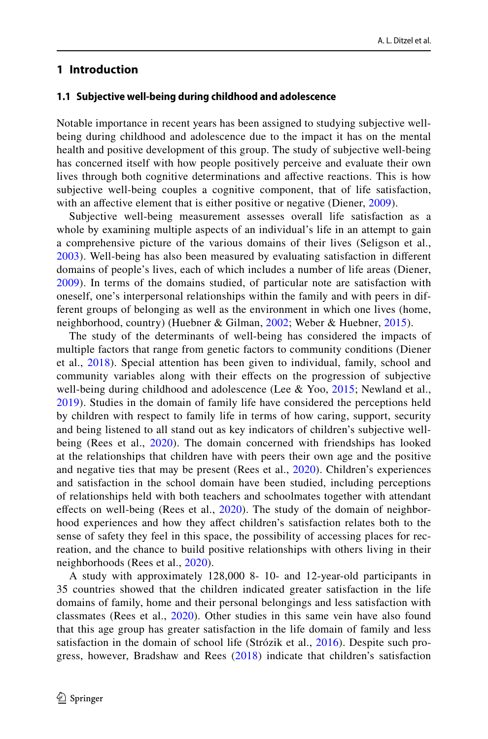## **1 Introduction**

#### **1.1 Subjective well‑being during childhood and adolescence**

Notable importance in recent years has been assigned to studying subjective wellbeing during childhood and adolescence due to the impact it has on the mental health and positive development of this group. The study of subjective well-being has concerned itself with how people positively perceive and evaluate their own lives through both cognitive determinations and afective reactions. This is how subjective well-being couples a cognitive component, that of life satisfaction, with an affective element that is either positive or negative (Diener, [2009\)](#page-15-0).

Subjective well-being measurement assesses overall life satisfaction as a whole by examining multiple aspects of an individual's life in an attempt to gain a comprehensive picture of the various domains of their lives (Seligson et al., [2003\)](#page-17-0). Well-being has also been measured by evaluating satisfaction in diferent domains of people's lives, each of which includes a number of life areas (Diener, [2009\)](#page-15-0). In terms of the domains studied, of particular note are satisfaction with oneself, one's interpersonal relationships within the family and with peers in different groups of belonging as well as the environment in which one lives (home, neighborhood, country) (Huebner & Gilman, [2002](#page-16-0); Weber & Huebner, [2015\)](#page-17-1).

The study of the determinants of well-being has considered the impacts of multiple factors that range from genetic factors to community conditions (Diener et al., [2018](#page-15-1)). Special attention has been given to individual, family, school and community variables along with their efects on the progression of subjective well-being during childhood and adolescence (Lee & Yoo, [2015;](#page-16-1) Newland et al., [2019\)](#page-16-2). Studies in the domain of family life have considered the perceptions held by children with respect to family life in terms of how caring, support, security and being listened to all stand out as key indicators of children's subjective well-being (Rees et al., [2020\)](#page-16-3). The domain concerned with friendships has looked at the relationships that children have with peers their own age and the positive and negative ties that may be present (Rees et al., [2020](#page-16-3)). Children's experiences and satisfaction in the school domain have been studied, including perceptions of relationships held with both teachers and schoolmates together with attendant efects on well-being (Rees et al., [2020](#page-16-3)). The study of the domain of neighborhood experiences and how they afect children's satisfaction relates both to the sense of safety they feel in this space, the possibility of accessing places for recreation, and the chance to build positive relationships with others living in their neighborhoods (Rees et al., [2020\)](#page-16-3).

A study with approximately 128,000 8- 10- and 12-year-old participants in 35 countries showed that the children indicated greater satisfaction in the life domains of family, home and their personal belongings and less satisfaction with classmates (Rees et al., [2020\)](#page-16-3). Other studies in this same vein have also found that this age group has greater satisfaction in the life domain of family and less satisfaction in the domain of school life (Strózik et al., [2016](#page-17-2)). Despite such progress, however, Bradshaw and Rees ([2018](#page-15-2)) indicate that children's satisfaction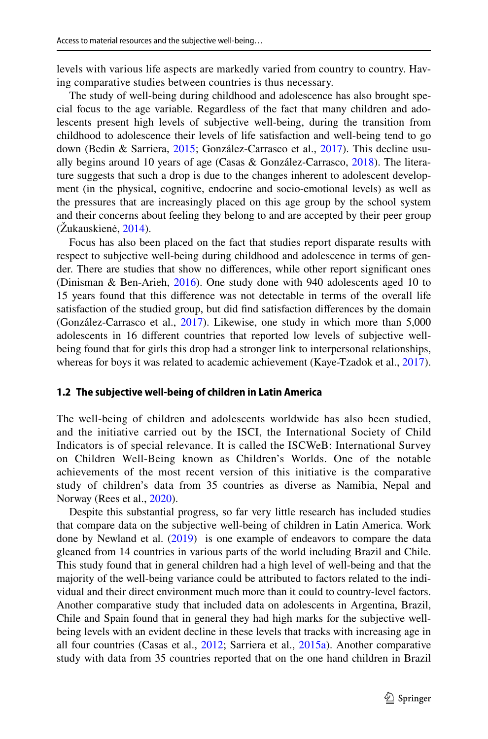levels with various life aspects are markedly varied from country to country. Having comparative studies between countries is thus necessary.

The study of well-being during childhood and adolescence has also brought special focus to the age variable. Regardless of the fact that many children and adolescents present high levels of subjective well-being, during the transition from childhood to adolescence their levels of life satisfaction and well-being tend to go down (Bedin & Sarriera, [2015](#page-15-3); González-Carrasco et al., [2017\)](#page-15-4). This decline usually begins around 10 years of age (Casas & González-Carrasco, [2018\)](#page-15-5). The literature suggests that such a drop is due to the changes inherent to adolescent development (in the physical, cognitive, endocrine and socio-emotional levels) as well as the pressures that are increasingly placed on this age group by the school system and their concerns about feeling they belong to and are accepted by their peer group (Žukauskienė, [2014](#page-17-3)).

Focus has also been placed on the fact that studies report disparate results with respect to subjective well-being during childhood and adolescence in terms of gender. There are studies that show no diferences, while other report signifcant ones (Dinisman & Ben-Arieh, [2016\)](#page-15-6). One study done with 940 adolescents aged 10 to 15 years found that this diference was not detectable in terms of the overall life satisfaction of the studied group, but did fnd satisfaction diferences by the domain (González-Carrasco et al., [2017\)](#page-15-4). Likewise, one study in which more than 5,000 adolescents in 16 diferent countries that reported low levels of subjective wellbeing found that for girls this drop had a stronger link to interpersonal relationships, whereas for boys it was related to academic achievement (Kaye-Tzadok et al., [2017\)](#page-16-4).

#### **1.2 The subjective well‑being of children in Latin America**

The well-being of children and adolescents worldwide has also been studied, and the initiative carried out by the ISCI, the International Society of Child Indicators is of special relevance. It is called the ISCWeB: International Survey on Children Well-Being known as Children's Worlds. One of the notable achievements of the most recent version of this initiative is the comparative study of children's data from 35 countries as diverse as Namibia, Nepal and Norway (Rees et al., [2020\)](#page-16-3).

Despite this substantial progress, so far very little research has included studies that compare data on the subjective well-being of children in Latin America. Work done by Newland et al.  $(2019)$  $(2019)$  is one example of endeavors to compare the data gleaned from 14 countries in various parts of the world including Brazil and Chile. This study found that in general children had a high level of well-being and that the majority of the well-being variance could be attributed to factors related to the individual and their direct environment much more than it could to country-level factors. Another comparative study that included data on adolescents in Argentina, Brazil, Chile and Spain found that in general they had high marks for the subjective wellbeing levels with an evident decline in these levels that tracks with increasing age in all four countries (Casas et al., [2012](#page-15-7); Sarriera et al., [2015a\)](#page-17-4). Another comparative study with data from 35 countries reported that on the one hand children in Brazil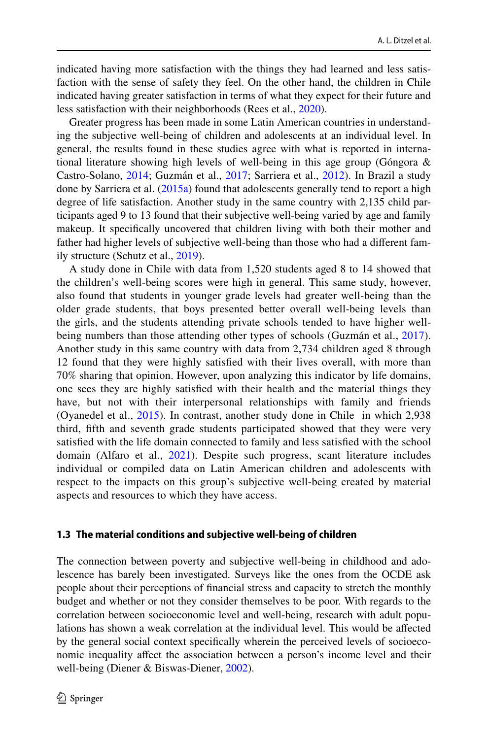indicated having more satisfaction with the things they had learned and less satisfaction with the sense of safety they feel. On the other hand, the children in Chile indicated having greater satisfaction in terms of what they expect for their future and less satisfaction with their neighborhoods (Rees et al., [2020\)](#page-16-3).

Greater progress has been made in some Latin American countries in understanding the subjective well-being of children and adolescents at an individual level. In general, the results found in these studies agree with what is reported in international literature showing high levels of well-being in this age group (Góngora & Castro-Solano, [2014;](#page-15-8) Guzmán et al., [2017](#page-16-5); Sarriera et al., [2012\)](#page-17-5). In Brazil a study done by Sarriera et al.  $(2015a)$  found that adolescents generally tend to report a high degree of life satisfaction. Another study in the same country with 2,135 child participants aged 9 to 13 found that their subjective well-being varied by age and family makeup. It specifcally uncovered that children living with both their mother and father had higher levels of subjective well-being than those who had a diferent family structure (Schutz et al., [2019\)](#page-17-6).

A study done in Chile with data from 1,520 students aged 8 to 14 showed that the children's well-being scores were high in general. This same study, however, also found that students in younger grade levels had greater well-being than the older grade students, that boys presented better overall well-being levels than the girls, and the students attending private schools tended to have higher well-being numbers than those attending other types of schools (Guzmán et al., [2017](#page-16-5)). Another study in this same country with data from 2,734 children aged 8 through 12 found that they were highly satisfed with their lives overall, with more than 70% sharing that opinion. However, upon analyzing this indicator by life domains, one sees they are highly satisfed with their health and the material things they have, but not with their interpersonal relationships with family and friends (Oyanedel et al., [2015\)](#page-16-6). In contrast, another study done in Chile in which 2,938 third, ffth and seventh grade students participated showed that they were very satisfed with the life domain connected to family and less satisfed with the school domain (Alfaro et al., [2021](#page-15-9)). Despite such progress, scant literature includes individual or compiled data on Latin American children and adolescents with respect to the impacts on this group's subjective well-being created by material aspects and resources to which they have access.

## **1.3 The material conditions and subjective well‑being of children**

The connection between poverty and subjective well-being in childhood and adolescence has barely been investigated. Surveys like the ones from the OCDE ask people about their perceptions of fnancial stress and capacity to stretch the monthly budget and whether or not they consider themselves to be poor. With regards to the correlation between socioeconomic level and well-being, research with adult populations has shown a weak correlation at the individual level. This would be afected by the general social context specifcally wherein the perceived levels of socioeconomic inequality afect the association between a person's income level and their well-being (Diener & Biswas-Diener, [2002](#page-15-10)).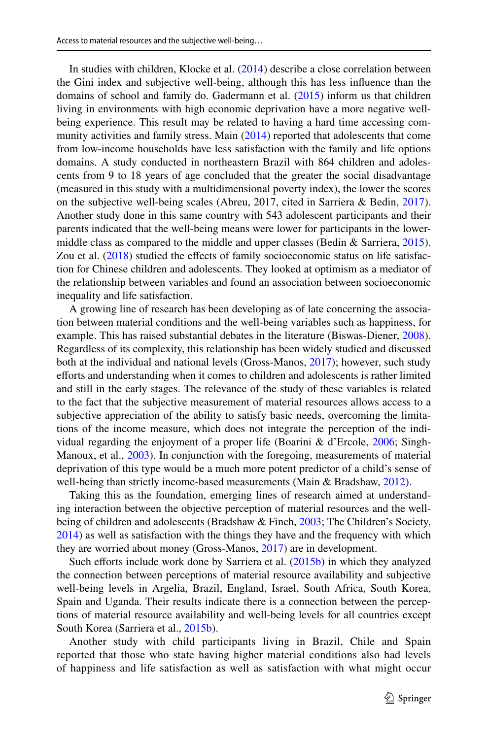In studies with children, Klocke et al. [\(2014](#page-16-7)) describe a close correlation between the Gini index and subjective well-being, although this has less infuence than the domains of school and family do. Gadermann et al. [\(2015](#page-15-11)) inform us that children living in environments with high economic deprivation have a more negative wellbeing experience. This result may be related to having a hard time accessing com-munity activities and family stress. Main [\(2014](#page-16-8)) reported that adolescents that come from low-income households have less satisfaction with the family and life options domains. A study conducted in northeastern Brazil with 864 children and adolescents from 9 to 18 years of age concluded that the greater the social disadvantage (measured in this study with a multidimensional poverty index), the lower the scores on the subjective well-being scales (Abreu, 2017, cited in Sarriera & Bedin, [2017\)](#page-16-9). Another study done in this same country with 543 adolescent participants and their parents indicated that the well-being means were lower for participants in the lowermiddle class as compared to the middle and upper classes (Bedin & Sarriera, [2015\)](#page-15-3). Zou et al. [\(2018](#page-17-7)) studied the effects of family socioeconomic status on life satisfaction for Chinese children and adolescents. They looked at optimism as a mediator of the relationship between variables and found an association between socioeconomic inequality and life satisfaction.

A growing line of research has been developing as of late concerning the association between material conditions and the well-being variables such as happiness, for example. This has raised substantial debates in the literature (Biswas-Diener, [2008\)](#page-15-12). Regardless of its complexity, this relationship has been widely studied and discussed both at the individual and national levels (Gross-Manos, [2017\)](#page-16-10); however, such study eforts and understanding when it comes to children and adolescents is rather limited and still in the early stages. The relevance of the study of these variables is related to the fact that the subjective measurement of material resources allows access to a subjective appreciation of the ability to satisfy basic needs, overcoming the limitations of the income measure, which does not integrate the perception of the individual regarding the enjoyment of a proper life (Boarini & d'Ercole, [2006;](#page-15-13) Singh-Manoux, et al., [2003\)](#page-17-8). In conjunction with the foregoing, measurements of material deprivation of this type would be a much more potent predictor of a child's sense of well-being than strictly income-based measurements (Main & Bradshaw, [2012](#page-16-11)).

Taking this as the foundation, emerging lines of research aimed at understanding interaction between the objective perception of material resources and the well-being of children and adolescents (Bradshaw & Finch, [2003;](#page-15-14) The Children's Society, [2014](#page-17-9)) as well as satisfaction with the things they have and the frequency with which they are worried about money (Gross-Manos, [2017](#page-16-10)) are in development.

Such efforts include work done by Sarriera et al. [\(2015b](#page-17-10)) in which they analyzed the connection between perceptions of material resource availability and subjective well-being levels in Argelia, Brazil, England, Israel, South Africa, South Korea, Spain and Uganda. Their results indicate there is a connection between the perceptions of material resource availability and well-being levels for all countries except South Korea (Sarriera et al., [2015b\)](#page-17-10).

Another study with child participants living in Brazil, Chile and Spain reported that those who state having higher material conditions also had levels of happiness and life satisfaction as well as satisfaction with what might occur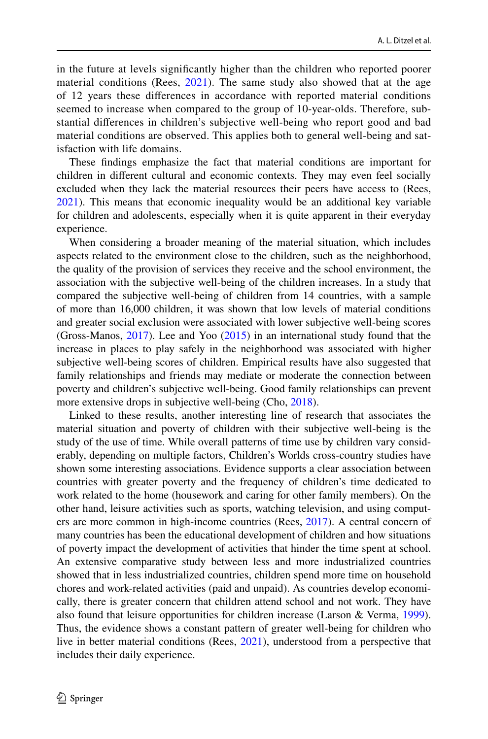in the future at levels signifcantly higher than the children who reported poorer material conditions (Rees,  $2021$ ). The same study also showed that at the age of 12 years these diferences in accordance with reported material conditions seemed to increase when compared to the group of 10-year-olds. Therefore, substantial diferences in children's subjective well-being who report good and bad material conditions are observed. This applies both to general well-being and satisfaction with life domains.

These fndings emphasize the fact that material conditions are important for children in diferent cultural and economic contexts. They may even feel socially excluded when they lack the material resources their peers have access to (Rees, [2021](#page-16-12)). This means that economic inequality would be an additional key variable for children and adolescents, especially when it is quite apparent in their everyday experience.

When considering a broader meaning of the material situation, which includes aspects related to the environment close to the children, such as the neighborhood, the quality of the provision of services they receive and the school environment, the association with the subjective well-being of the children increases. In a study that compared the subjective well-being of children from 14 countries, with a sample of more than 16,000 children, it was shown that low levels of material conditions and greater social exclusion were associated with lower subjective well-being scores (Gross-Manos, [2017\)](#page-16-10). Lee and Yoo [\(2015](#page-16-1)) in an international study found that the increase in places to play safely in the neighborhood was associated with higher subjective well-being scores of children. Empirical results have also suggested that family relationships and friends may mediate or moderate the connection between poverty and children's subjective well-being. Good family relationships can prevent more extensive drops in subjective well-being (Cho, [2018\)](#page-15-15).

Linked to these results, another interesting line of research that associates the material situation and poverty of children with their subjective well-being is the study of the use of time. While overall patterns of time use by children vary considerably, depending on multiple factors, Children's Worlds cross-country studies have shown some interesting associations. Evidence supports a clear association between countries with greater poverty and the frequency of children's time dedicated to work related to the home (housework and caring for other family members). On the other hand, leisure activities such as sports, watching television, and using computers are more common in high-income countries (Rees, [2017\)](#page-16-13). A central concern of many countries has been the educational development of children and how situations of poverty impact the development of activities that hinder the time spent at school. An extensive comparative study between less and more industrialized countries showed that in less industrialized countries, children spend more time on household chores and work-related activities (paid and unpaid). As countries develop economically, there is greater concern that children attend school and not work. They have also found that leisure opportunities for children increase (Larson & Verma, [1999\)](#page-16-14). Thus, the evidence shows a constant pattern of greater well-being for children who live in better material conditions (Rees, [2021\)](#page-16-12), understood from a perspective that includes their daily experience.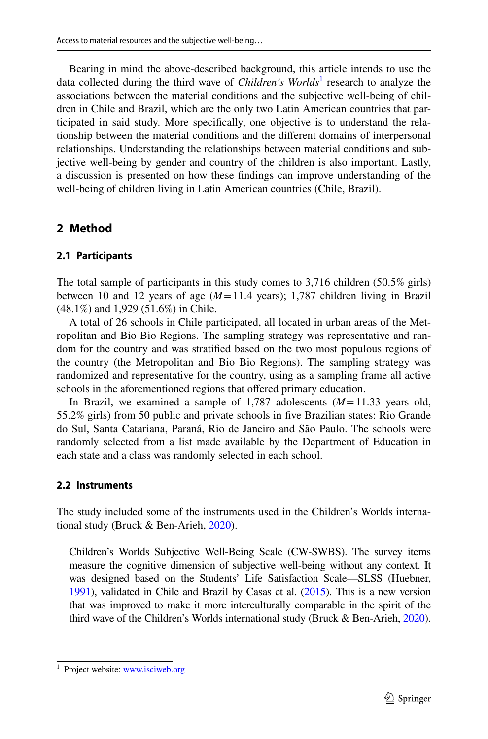Bearing in mind the above-described background, this article intends to use the data collected during the third wave of *Children's Worlds*<sup>[1](#page-6-0)</sup> research to analyze the associations between the material conditions and the subjective well-being of children in Chile and Brazil, which are the only two Latin American countries that participated in said study. More specifcally, one objective is to understand the relationship between the material conditions and the diferent domains of interpersonal relationships. Understanding the relationships between material conditions and subjective well-being by gender and country of the children is also important. Lastly, a discussion is presented on how these fndings can improve understanding of the well-being of children living in Latin American countries (Chile, Brazil).

## **2 Method**

#### **2.1 Participants**

The total sample of participants in this study comes to 3,716 children (50.5% girls) between 10 and 12 years of age  $(M=11.4$  years); 1,787 children living in Brazil (48.1%) and 1,929 (51.6%) in Chile.

A total of 26 schools in Chile participated, all located in urban areas of the Metropolitan and Bio Bio Regions. The sampling strategy was representative and random for the country and was stratifed based on the two most populous regions of the country (the Metropolitan and Bio Bio Regions). The sampling strategy was randomized and representative for the country, using as a sampling frame all active schools in the aforementioned regions that offered primary education.

In Brazil, we examined a sample of 1,787 adolescents (*M*=11.33 years old, 55.2% girls) from 50 public and private schools in fve Brazilian states: Rio Grande do Sul, Santa Catariana, Paraná, Rio de Janeiro and São Paulo. The schools were randomly selected from a list made available by the Department of Education in each state and a class was randomly selected in each school.

#### **2.2 Instruments**

The study included some of the instruments used in the Children's Worlds international study (Bruck & Ben-Arieh, [2020](#page-15-16)).

Children's Worlds Subjective Well-Being Scale (CW-SWBS). The survey items measure the cognitive dimension of subjective well-being without any context. It was designed based on the Students' Life Satisfaction Scale—SLSS (Huebner, [1991\)](#page-16-15), validated in Chile and Brazil by Casas et al. [\(2015\)](#page-15-17). This is a new version that was improved to make it more interculturally comparable in the spirit of the third wave of the Children's Worlds international study (Bruck & Ben-Arieh, [2020\)](#page-15-16).

<span id="page-6-0"></span> $<sup>1</sup>$  Project website: [www.isciweb.org](http://www.isciweb.org)</sup>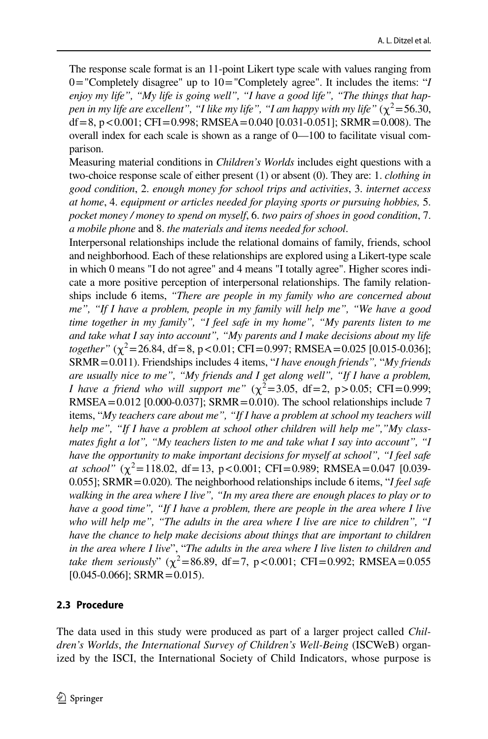The response scale format is an 11-point Likert type scale with values ranging from 0="Completely disagree" up to 10="Completely agree". It includes the items: "*I enjoy my life", "My life is going well", "I have a good life", "The things that happen in my life are excellent", "I like my life", "I am happy with my life"* ( $\chi^2$ =56.30, df = 8, p < 0.001; CFI = 0.998; RMSEA = 0.040 [0.031-0.051]; SRMR = 0.008). The overall index for each scale is shown as a range of 0—100 to facilitate visual comparison.

Measuring material conditions in *Children's Worlds* includes eight questions with a two-choice response scale of either present (1) or absent (0). They are: 1. *clothing in good condition*, 2. *enough money for school trips and activities*, 3. *internet access at home*, 4. *equipment or articles needed for playing sports or pursuing hobbies,* 5. *pocket money / money to spend on myself*, 6. *two pairs of shoes in good condition*, 7. *a mobile phone* and 8. *the materials and items needed for school*.

Interpersonal relationships include the relational domains of family, friends, school and neighborhood. Each of these relationships are explored using a Likert-type scale in which 0 means "I do not agree" and 4 means "I totally agree". Higher scores indicate a more positive perception of interpersonal relationships. The family relationships include 6 items, *"There are people in my family who are concerned about me", "If I have a problem, people in my family will help me", "We have a good time together in my family", "I feel safe in my home", "My parents listen to me and take what I say into account", "My parents and I make decisions about my life together"* ( $\chi^2$ =26.84, df = 8, p < 0.01; CFI = 0.997; RMSEA = 0.025 [0.015-0.036]; SRMR=0.011). Friendships includes 4 items, "*I have enough friends",* "*My friends are usually nice to me", "My friends and I get along well", "If I have a problem, I have a friend who will support me"*  $(\chi^2 = 3.05, df = 2, p > 0.05; CFI = 0.999;$ RMSEA= $0.012$  [0.000-0.037]; SRMR=0.010). The school relationships include 7 items, "*My teachers care about me", "If I have a problem at school my teachers will help me", "If I have a problem at school other children will help me","My classmates fght a lot", "My teachers listen to me and take what I say into account", "I have the opportunity to make important decisions for myself at school", "I feel safe at school"* ( $\chi^2$ =118.02, df=13, p<0.001; CFI=0.989; RMSEA=0.047 [0.039-0.055]; SRMR=0.020)*.* The neighborhood relationships include 6 items, "*I feel safe*  walking in the area where I live", "In my area there are enough places to play or to *have a good time", "If I have a problem, there are people in the area where I live who will help me", "The adults in the area where I live are nice to children", "I have the chance to help make decisions about things that are important to children in the area where I live*", "*The adults in the area where I live listen to children and take them seriously*"  $(\chi^2 = 86.89, df = 7, p < 0.001; CFI = 0.992; RMSEA = 0.055$  $[0.045 - 0.066]$ ; SRMR = 0.015).

# **2.3 Procedure**

The data used in this study were produced as part of a larger project called *Children's Worlds*, *the International Survey of Children's Well-Being* (ISCWeB) organized by the ISCI, the International Society of Child Indicators, whose purpose is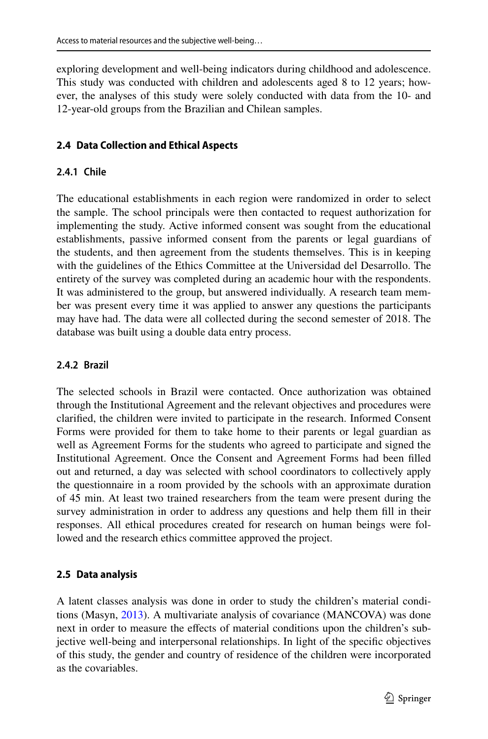exploring development and well-being indicators during childhood and adolescence. This study was conducted with children and adolescents aged 8 to 12 years; however, the analyses of this study were solely conducted with data from the 10- and 12-year-old groups from the Brazilian and Chilean samples.

# **2.4 Data Collection and Ethical Aspects**

# **2.4.1 Chile**

The educational establishments in each region were randomized in order to select the sample. The school principals were then contacted to request authorization for implementing the study. Active informed consent was sought from the educational establishments, passive informed consent from the parents or legal guardians of the students, and then agreement from the students themselves. This is in keeping with the guidelines of the Ethics Committee at the Universidad del Desarrollo. The entirety of the survey was completed during an academic hour with the respondents. It was administered to the group, but answered individually. A research team member was present every time it was applied to answer any questions the participants may have had. The data were all collected during the second semester of 2018. The database was built using a double data entry process.

## **2.4.2 Brazil**

The selected schools in Brazil were contacted. Once authorization was obtained through the Institutional Agreement and the relevant objectives and procedures were clarifed, the children were invited to participate in the research. Informed Consent Forms were provided for them to take home to their parents or legal guardian as well as Agreement Forms for the students who agreed to participate and signed the Institutional Agreement. Once the Consent and Agreement Forms had been flled out and returned, a day was selected with school coordinators to collectively apply the questionnaire in a room provided by the schools with an approximate duration of 45 min. At least two trained researchers from the team were present during the survey administration in order to address any questions and help them fll in their responses. All ethical procedures created for research on human beings were followed and the research ethics committee approved the project.

# **2.5 Data analysis**

A latent classes analysis was done in order to study the children's material conditions (Masyn, [2013](#page-16-16)). A multivariate analysis of covariance (MANCOVA) was done next in order to measure the efects of material conditions upon the children's subjective well-being and interpersonal relationships. In light of the specifc objectives of this study, the gender and country of residence of the children were incorporated as the covariables.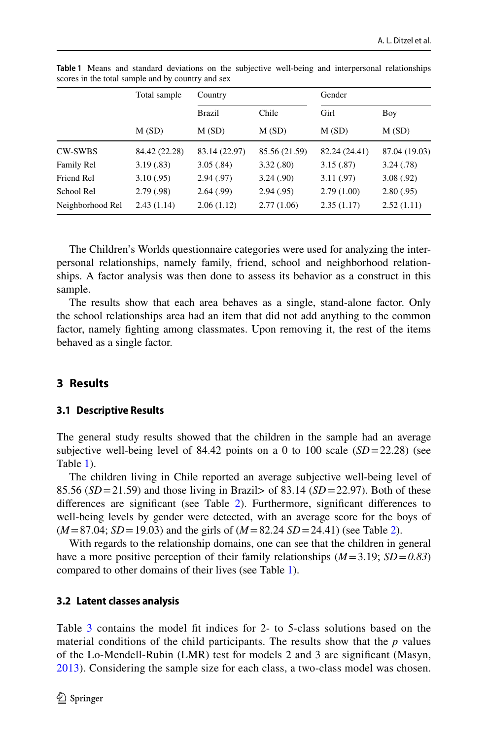|                  | Total sample  | Country       |               | Gender        |               |  |
|------------------|---------------|---------------|---------------|---------------|---------------|--|
|                  |               | <b>Brazil</b> | Chile         | Girl          | Boy           |  |
|                  | M(SD)         | M(SD)         | M(SD)         | M(SD)         | M(SD)         |  |
| <b>CW-SWBS</b>   | 84.42 (22.28) | 83.14 (22.97) | 85.56 (21.59) | 82.24 (24.41) | 87.04 (19.03) |  |
| Family Rel       | 3.19(0.83)    | 3.05(.84)     | 3.32(.80)     | 3.15(.87)     | 3.24(0.78)    |  |
| Friend Rel       | 3.10(0.95)    | 2.94(.97)     | 3.24(.90)     | 3.11(.97)     | 3.08(.92)     |  |
| School Rel       | 2.79(0.98)    | 2.64(0.99)    | 2.94(.95)     | 2.79(1.00)    | 2.80(.95)     |  |
| Neighborhood Rel | 2.43(1.14)    | 2.06(1.12)    | 2.77(1.06)    | 2.35(1.17)    | 2.52(1.11)    |  |

<span id="page-9-0"></span>**Table 1** Means and standard deviations on the subjective well-being and interpersonal relationships scores in the total sample and by country and sex

The Children's Worlds questionnaire categories were used for analyzing the interpersonal relationships, namely family, friend, school and neighborhood relationships. A factor analysis was then done to assess its behavior as a construct in this sample.

The results show that each area behaves as a single, stand-alone factor. Only the school relationships area had an item that did not add anything to the common factor, namely fghting among classmates. Upon removing it, the rest of the items behaved as a single factor.

## **3 Results**

#### **3.1 Descriptive Results**

The general study results showed that the children in the sample had an average subjective well-being level of 84.42 points on a 0 to 100 scale  $(SD=22.28)$  (see Table [1\)](#page-9-0).

The children living in Chile reported an average subjective well-being level of 85.56  $(SD=21.59)$  and those living in Brazil> of 83.14  $(SD=22.97)$ . Both of these diferences are signifcant (see Table [2\)](#page-10-0). Furthermore, signifcant diferences to well-being levels by gender were detected, with an average score for the boys of  $(M = 87.04; SD = 19.03)$  and the girls of  $(M = 82.24; SD = 24.41)$  (see Table [2\)](#page-10-0).

With regards to the relationship domains, one can see that the children in general have a more positive perception of their family relationships  $(M=3.19; SD=0.83)$ compared to other domains of their lives (see Table [1\)](#page-9-0).

## **3.2 Latent classes analysis**

Table [3](#page-10-1) contains the model fit indices for 2- to 5-class solutions based on the material conditions of the child participants. The results show that the *p* values of the Lo-Mendell-Rubin (LMR) test for models 2 and 3 are signifcant (Masyn, [2013\)](#page-16-16). Considering the sample size for each class, a two-class model was chosen.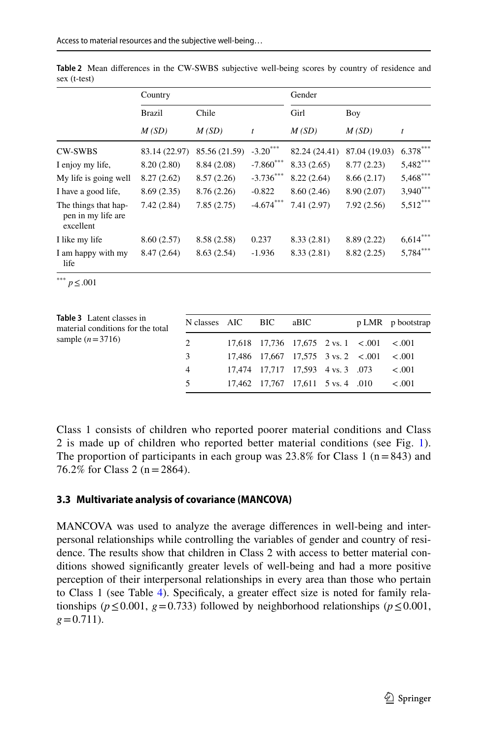|                                                         | Country       |               |                  | Gender        |               |            |  |
|---------------------------------------------------------|---------------|---------------|------------------|---------------|---------------|------------|--|
|                                                         | <b>Brazil</b> | Chile         |                  | Girl          | Boy           |            |  |
|                                                         | M(SD)         | M(SD)         | $\boldsymbol{t}$ | M(SD)         | M(SD)         | t          |  |
| <b>CW-SWBS</b>                                          | 83.14 (22.97) | 85.56 (21.59) | $-3.20$ ***      | 82.24 (24.41) | 87.04 (19.03) | $6.378***$ |  |
| I enjoy my life,                                        | 8.20(2.80)    | 8.84 (2.08)   | $-7.860***$      | 8.33(2.65)    | 8.77(2.23)    | $5,482***$ |  |
| My life is going well                                   | 8.27(2.62)    | 8.57(2.26)    | $-3.736***$      | 8.22(2.64)    | 8.66(2.17)    | $5,468***$ |  |
| I have a good life,                                     | 8.69(2.35)    | 8.76(2.26)    | $-0.822$         | 8.60(2.46)    | 8.90 (2.07)   | $3,940***$ |  |
| The things that hap-<br>pen in my life are<br>excellent | 7.42(2.84)    | 7.85(2.75)    | $-4.674***$      | 7.41(2.97)    | 7.92(2.56)    | $5,512***$ |  |
| I like my life                                          | 8.60(2.57)    | 8.58 (2.58)   | 0.237            | 8.33(2.81)    | 8.89 (2.22)   | $6,614***$ |  |
| I am happy with my<br>life                              | 8.47(2.64)    | 8.63(2.54)    | $-1.936$         | 8.33 (2.81)   | 8.82(2.25)    | $5,784***$ |  |

<span id="page-10-0"></span>**Table 2** Mean diferences in the CW-SWBS subjective well-being scores by country of residence and sex (t-test)

\*\*\* *p*≤.001

<span id="page-10-1"></span>

| <b>Table 3</b> Latent classes in<br>material conditions for the total | N classes AIC BIC |                                   | aBIC |                                                                   | p LMR p bootstrap |
|-----------------------------------------------------------------------|-------------------|-----------------------------------|------|-------------------------------------------------------------------|-------------------|
| sample $(n=3716)$                                                     | 2                 |                                   |      | $17,618$ $17,736$ $17,675$ $2 \text{ vs. } 1 \leq .001 \leq .001$ |                   |
|                                                                       | 3                 |                                   |      | $17,486$ $17,667$ $17,575$ $3 \text{ vs. } 2 \le 0.001 \le 0.001$ |                   |
|                                                                       | $\overline{4}$    | 17,474 17,717 17,593 4 vs. 3 .073 |      |                                                                   | < 0.01            |
|                                                                       | 5                 | 17,462 17,767 17,611 5 vs. 4 .010 |      |                                                                   | < 0.01            |

Class 1 consists of children who reported poorer material conditions and Class 2 is made up of children who reported better material conditions (see Fig. [1](#page-11-0)). The proportion of participants in each group was  $23.8\%$  for Class 1 (n=843) and 76.2% for Class 2 (n=2864).

## **3.3 Multivariate analysis of covariance (MANCOVA)**

MANCOVA was used to analyze the average diferences in well-being and interpersonal relationships while controlling the variables of gender and country of residence. The results show that children in Class 2 with access to better material conditions showed signifcantly greater levels of well-being and had a more positive perception of their interpersonal relationships in every area than those who pertain to Class 1 (see Table [4\)](#page-11-1). Specificaly, a greater effect size is noted for family relationships ( $p \le 0.001$ ,  $g = 0.733$ ) followed by neighborhood relationships ( $p \le 0.001$ ,  $g=0.711$ ).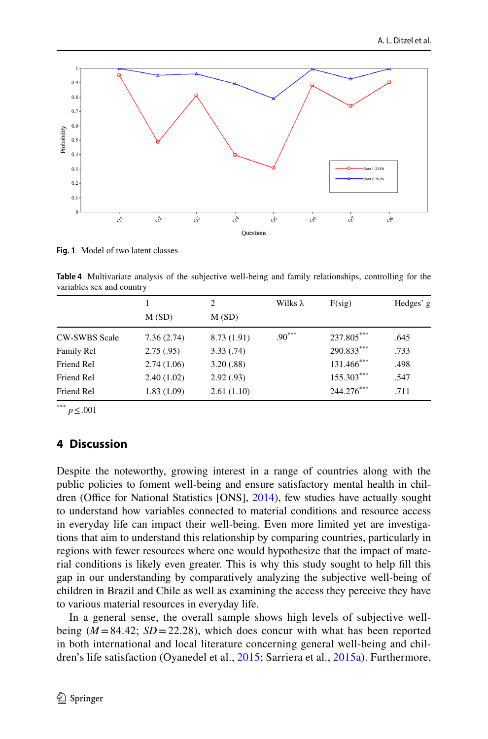

<span id="page-11-0"></span>**Fig. 1** Model of two latent classes

<span id="page-11-1"></span>**Table 4** Multivariate analysis of the subjective well-being and family relationships, controlling for the variables sex and country

|                      |            | 2           | Wilks $\lambda$ | F(sig)       | Hedges' g |  |
|----------------------|------------|-------------|-----------------|--------------|-----------|--|
|                      | M(SD)      | M(SD)       |                 |              |           |  |
| <b>CW-SWBS Scale</b> | 7.36(2.74) | 8.73 (1.91) | $.90***$        | 237.805***   | .645      |  |
| Family Rel           | 2.75(.95)  | 3.33(.74)   |                 | $290.833***$ | .733      |  |
| Friend Rel           | 2.74(1.06) | 3.20(.88)   |                 | 131.466***   | .498      |  |
| Friend Rel           | 2.40(1.02) | 2.92(.93)   |                 | $155.303***$ | .547      |  |
| Friend Rel           | 1.83(1.09) | 2.61(1.10)  |                 | 244.276***   | .711      |  |

\*\*\* *p*≤.001

# **4 Discussion**

Despite the noteworthy, growing interest in a range of countries along with the public policies to foment well-being and ensure satisfactory mental health in children (Office for National Statistics [ONS],  $2014$ ), few studies have actually sought to understand how variables connected to material conditions and resource access in everyday life can impact their well-being. Even more limited yet are investigations that aim to understand this relationship by comparing countries, particularly in regions with fewer resources where one would hypothesize that the impact of material conditions is likely even greater. This is why this study sought to help fll this gap in our understanding by comparatively analyzing the subjective well-being of children in Brazil and Chile as well as examining the access they perceive they have to various material resources in everyday life.

In a general sense, the overall sample shows high levels of subjective wellbeing  $(M = 84.42; SD = 22.28)$ , which does concur with what has been reported in both international and local literature concerning general well-being and children's life satisfaction (Oyanedel et al., [2015](#page-16-6); Sarriera et al., [2015a](#page-17-4)). Furthermore,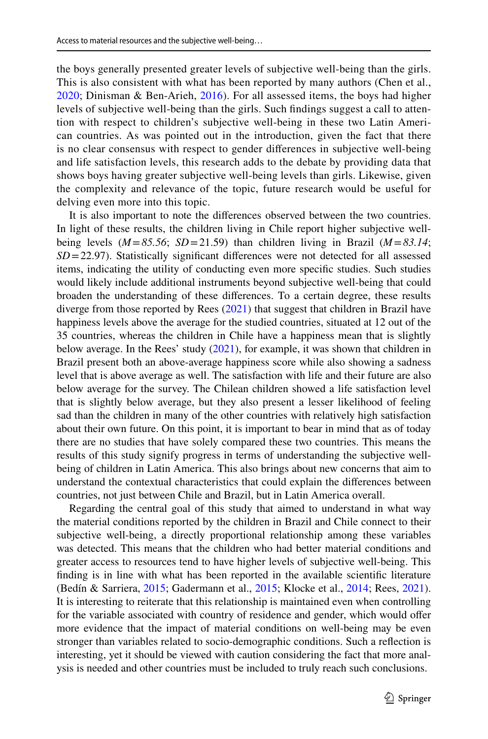the boys generally presented greater levels of subjective well-being than the girls. This is also consistent with what has been reported by many authors (Chen et al., [2020;](#page-15-18) Dinisman & Ben-Arieh, [2016\)](#page-15-6). For all assessed items, the boys had higher levels of subjective well-being than the girls. Such fndings suggest a call to attention with respect to children's subjective well-being in these two Latin American countries. As was pointed out in the introduction, given the fact that there is no clear consensus with respect to gender diferences in subjective well-being and life satisfaction levels, this research adds to the debate by providing data that shows boys having greater subjective well-being levels than girls. Likewise, given the complexity and relevance of the topic, future research would be useful for delving even more into this topic.

It is also important to note the diferences observed between the two countries. In light of these results, the children living in Chile report higher subjective wellbeing levels (*M*=*85.56*; *SD*=21.59) than children living in Brazil (*M*=*83.14*; *SD*=22.97). Statistically signifcant diferences were not detected for all assessed items, indicating the utility of conducting even more specifc studies. Such studies would likely include additional instruments beyond subjective well-being that could broaden the understanding of these diferences. To a certain degree, these results diverge from those reported by Rees [\(2021](#page-16-12)) that suggest that children in Brazil have happiness levels above the average for the studied countries, situated at 12 out of the 35 countries, whereas the children in Chile have a happiness mean that is slightly below average. In the Rees' study ([2021\)](#page-16-12), for example, it was shown that children in Brazil present both an above-average happiness score while also showing a sadness level that is above average as well. The satisfaction with life and their future are also below average for the survey. The Chilean children showed a life satisfaction level that is slightly below average, but they also present a lesser likelihood of feeling sad than the children in many of the other countries with relatively high satisfaction about their own future. On this point, it is important to bear in mind that as of today there are no studies that have solely compared these two countries. This means the results of this study signify progress in terms of understanding the subjective wellbeing of children in Latin America. This also brings about new concerns that aim to understand the contextual characteristics that could explain the diferences between countries, not just between Chile and Brazil, but in Latin America overall.

Regarding the central goal of this study that aimed to understand in what way the material conditions reported by the children in Brazil and Chile connect to their subjective well-being, a directly proportional relationship among these variables was detected. This means that the children who had better material conditions and greater access to resources tend to have higher levels of subjective well-being. This fnding is in line with what has been reported in the available scientifc literature (Bedín & Sarriera, [2015](#page-15-3); Gadermann et al., [2015;](#page-15-11) Klocke et al., [2014](#page-16-7); Rees, [2021\)](#page-16-12). It is interesting to reiterate that this relationship is maintained even when controlling for the variable associated with country of residence and gender, which would offer more evidence that the impact of material conditions on well-being may be even stronger than variables related to socio-demographic conditions. Such a refection is interesting, yet it should be viewed with caution considering the fact that more analysis is needed and other countries must be included to truly reach such conclusions.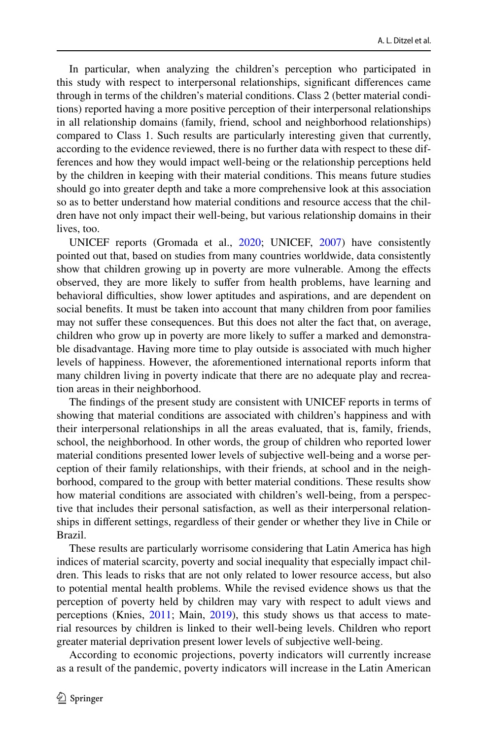In particular, when analyzing the children's perception who participated in this study with respect to interpersonal relationships, signifcant diferences came through in terms of the children's material conditions. Class 2 (better material conditions) reported having a more positive perception of their interpersonal relationships in all relationship domains (family, friend, school and neighborhood relationships) compared to Class 1. Such results are particularly interesting given that currently, according to the evidence reviewed, there is no further data with respect to these differences and how they would impact well-being or the relationship perceptions held by the children in keeping with their material conditions. This means future studies should go into greater depth and take a more comprehensive look at this association so as to better understand how material conditions and resource access that the children have not only impact their well-being, but various relationship domains in their lives, too.

UNICEF reports (Gromada et al., [2020](#page-16-18); UNICEF, [2007\)](#page-17-11) have consistently pointed out that, based on studies from many countries worldwide, data consistently show that children growing up in poverty are more vulnerable. Among the efects observed, they are more likely to sufer from health problems, have learning and behavioral difculties, show lower aptitudes and aspirations, and are dependent on social benefts. It must be taken into account that many children from poor families may not sufer these consequences. But this does not alter the fact that, on average, children who grow up in poverty are more likely to sufer a marked and demonstrable disadvantage. Having more time to play outside is associated with much higher levels of happiness. However, the aforementioned international reports inform that many children living in poverty indicate that there are no adequate play and recreation areas in their neighborhood.

The fndings of the present study are consistent with UNICEF reports in terms of showing that material conditions are associated with children's happiness and with their interpersonal relationships in all the areas evaluated, that is, family, friends, school, the neighborhood. In other words, the group of children who reported lower material conditions presented lower levels of subjective well-being and a worse perception of their family relationships, with their friends, at school and in the neighborhood, compared to the group with better material conditions. These results show how material conditions are associated with children's well-being, from a perspective that includes their personal satisfaction, as well as their interpersonal relationships in diferent settings, regardless of their gender or whether they live in Chile or Brazil.

These results are particularly worrisome considering that Latin America has high indices of material scarcity, poverty and social inequality that especially impact children. This leads to risks that are not only related to lower resource access, but also to potential mental health problems. While the revised evidence shows us that the perception of poverty held by children may vary with respect to adult views and perceptions (Knies, [2011](#page-16-19); Main, [2019](#page-16-20)), this study shows us that access to material resources by children is linked to their well-being levels. Children who report greater material deprivation present lower levels of subjective well-being.

According to economic projections, poverty indicators will currently increase as a result of the pandemic, poverty indicators will increase in the Latin American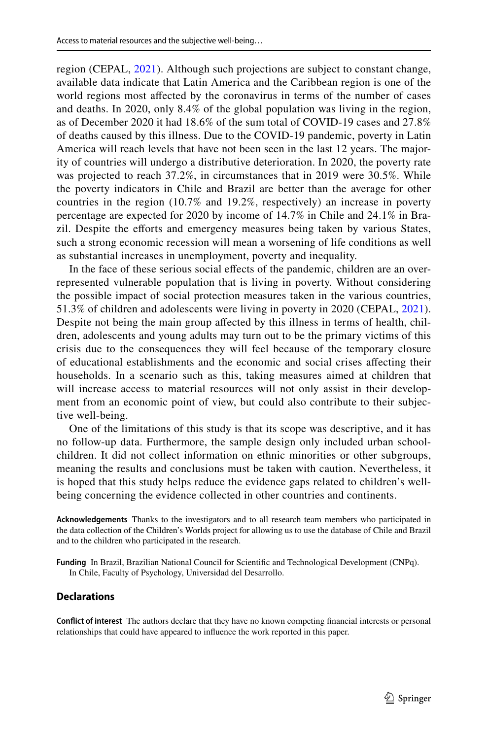region (CEPAL, [2021](#page-15-19)). Although such projections are subject to constant change, available data indicate that Latin America and the Caribbean region is one of the world regions most afected by the coronavirus in terms of the number of cases and deaths. In 2020, only 8.4% of the global population was living in the region, as of December 2020 it had 18.6% of the sum total of COVID-19 cases and 27.8% of deaths caused by this illness. Due to the COVID-19 pandemic, poverty in Latin America will reach levels that have not been seen in the last 12 years. The majority of countries will undergo a distributive deterioration. In 2020, the poverty rate was projected to reach 37.2%, in circumstances that in 2019 were 30.5%. While the poverty indicators in Chile and Brazil are better than the average for other countries in the region (10.7% and 19.2%, respectively) an increase in poverty percentage are expected for 2020 by income of 14.7% in Chile and 24.1% in Brazil. Despite the efforts and emergency measures being taken by various States, such a strong economic recession will mean a worsening of life conditions as well as substantial increases in unemployment, poverty and inequality.

In the face of these serious social effects of the pandemic, children are an overrepresented vulnerable population that is living in poverty. Without considering the possible impact of social protection measures taken in the various countries, 51.3% of children and adolescents were living in poverty in 2020 (CEPAL, [2021](#page-15-19)). Despite not being the main group afected by this illness in terms of health, children, adolescents and young adults may turn out to be the primary victims of this crisis due to the consequences they will feel because of the temporary closure of educational establishments and the economic and social crises afecting their households. In a scenario such as this, taking measures aimed at children that will increase access to material resources will not only assist in their development from an economic point of view, but could also contribute to their subjective well-being.

One of the limitations of this study is that its scope was descriptive, and it has no follow-up data. Furthermore, the sample design only included urban schoolchildren. It did not collect information on ethnic minorities or other subgroups, meaning the results and conclusions must be taken with caution. Nevertheless, it is hoped that this study helps reduce the evidence gaps related to children's wellbeing concerning the evidence collected in other countries and continents.

**Acknowledgements** Thanks to the investigators and to all research team members who participated in the data collection of the Children's Worlds project for allowing us to use the database of Chile and Brazil and to the children who participated in the research.

**Funding** In Brazil, Brazilian National Council for Scientifc and Technological Development (CNPq). In Chile, Faculty of Psychology, Universidad del Desarrollo.

#### **Declarations**

**Confict of interest** The authors declare that they have no known competing fnancial interests or personal relationships that could have appeared to infuence the work reported in this paper.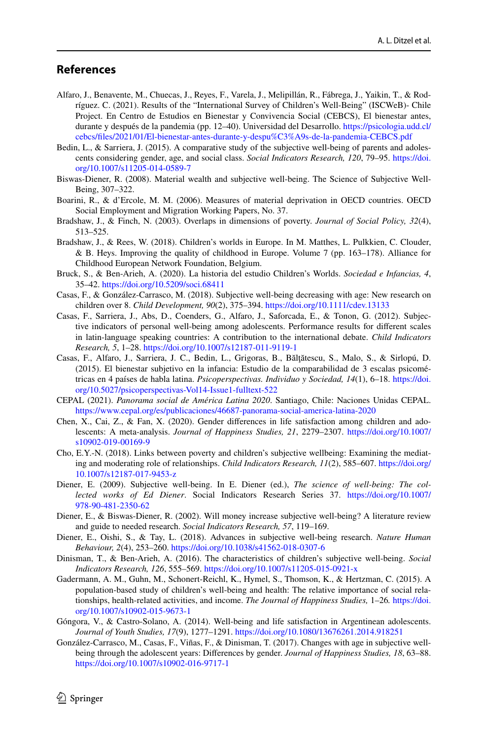## **References**

- <span id="page-15-9"></span>Alfaro, J., Benavente, M., Chuecas, J., Reyes, F., Varela, J., Melipillán, R., Fábrega, J., Yaikin, T., & Rodríguez. C. (2021). Results of the "International Survey of Children's Well-Being" (ISCWeB)- Chile Project. En Centro de Estudios en Bienestar y Convivencia Social (CEBCS), El bienestar antes, durante y después de la pandemia (pp. 12–40). Universidad del Desarrollo. [https://psicologia.udd.cl/](https://psicologia.udd.cl/cebcs/files/2021/01/El-bienestar-antes-durante-y-despu%C3%A9s-de-la-pandemia-CEBCS.pdf) [cebcs/fles/2021/01/El-bienestar-antes-durante-y-despu%C3%A9s-de-la-pandemia-CEBCS.pdf](https://psicologia.udd.cl/cebcs/files/2021/01/El-bienestar-antes-durante-y-despu%C3%A9s-de-la-pandemia-CEBCS.pdf)
- <span id="page-15-3"></span>Bedin, L., & Sarriera, J. (2015). A comparative study of the subjective well-being of parents and adolescents considering gender, age, and social class. *Social Indicators Research, 120*, 79–95. [https://doi.](https://doi.org/10.1007/s11205-014-0589-7) [org/10.1007/s11205-014-0589-7](https://doi.org/10.1007/s11205-014-0589-7)
- <span id="page-15-12"></span>Biswas-Diener, R. (2008). Material wealth and subjective well-being. The Science of Subjective Well-Being, 307–322.
- <span id="page-15-13"></span>Boarini, R., & d'Ercole, M. M. (2006). Measures of material deprivation in OECD countries. OECD Social Employment and Migration Working Papers, No. 37.
- <span id="page-15-14"></span>Bradshaw, J., & Finch, N. (2003). Overlaps in dimensions of poverty. *Journal of Social Policy, 32*(4), 513–525.
- <span id="page-15-2"></span>Bradshaw, J., & Rees, W. (2018). Children's worlds in Europe. In M. Matthes, L. Pulkkien, C. Clouder, & B. Heys. Improving the quality of childhood in Europe. Volume 7 (pp. 163–178). Alliance for Childhood European Network Foundation, Belgium.
- <span id="page-15-16"></span>Bruck, S., & Ben-Arieh, A. (2020). La historia del estudio Children's Worlds. *Sociedad e Infancias, 4*, 35–42.<https://doi.org/10.5209/soci.68411>
- <span id="page-15-5"></span>Casas, F., & González-Carrasco, M. (2018). Subjective well-being decreasing with age: New research on children over 8. *Child Development, 90*(2), 375–394.<https://doi.org/10.1111/cdev.13133>
- <span id="page-15-7"></span>Casas, F., Sarriera, J., Abs, D., Coenders, G., Alfaro, J., Saforcada, E., & Tonon, G. (2012). Subjective indicators of personal well-being among adolescents. Performance results for diferent scales in latin-language speaking countries: A contribution to the international debate. *Child Indicators Research, 5*, 1–28.<https://doi.org/10.1007/s12187-011-9119-1>
- <span id="page-15-17"></span>Casas, F., Alfaro, J., Sarriera, J. C., Bedin, L., Grigoras, B., Bălţătescu, S., Malo, S., & Sirlopú, D. (2015). El bienestar subjetivo en la infancia: Estudio de la comparabilidad de 3 escalas psicométricas en 4 países de habla latina. *Psicoperspectivas. Individuo y Sociedad, 14*(1), 6–18. [https://doi.](https://doi.org/10.5027/psicoperspectivas-Vol14-Issue1-fulltext-522) [org/10.5027/psicoperspectivas-Vol14-Issue1-fulltext-522](https://doi.org/10.5027/psicoperspectivas-Vol14-Issue1-fulltext-522)
- <span id="page-15-19"></span>CEPAL (2021). *Panorama social de América Latina 2020*. Santiago, Chile: Naciones Unidas CEPAL. <https://www.cepal.org/es/publicaciones/46687-panorama-social-america-latina-2020>
- <span id="page-15-18"></span>Chen, X., Cai, Z., & Fan, X. (2020). Gender diferences in life satisfaction among children and adolescents: A meta-analysis. *Journal of Happiness Studies, 21*, 2279–2307. [https://doi.org/10.1007/](https://doi.org/10.1007/s10902-019-00169-9) [s10902-019-00169-9](https://doi.org/10.1007/s10902-019-00169-9)
- <span id="page-15-15"></span>Cho, E.Y.-N. (2018). Links between poverty and children's subjective wellbeing: Examining the mediating and moderating role of relationships. *Child Indicators Research, 11*(2), 585–607. [https://doi.org/](https://doi.org/10.1007/s12187-017-9453-z) [10.1007/s12187-017-9453-z](https://doi.org/10.1007/s12187-017-9453-z)
- <span id="page-15-0"></span>Diener, E. (2009). Subjective well-being. In E. Diener (ed.), *The science of well-being: The collected works of Ed Diener*. Social Indicators Research Series 37. [https://doi.org/10.1007/](https://doi.org/10.1007/978-90-481-2350-62) [978-90-481-2350-62](https://doi.org/10.1007/978-90-481-2350-62)
- <span id="page-15-10"></span>Diener, E., & Biswas-Diener, R. (2002). Will money increase subjective well-being? A literature review and guide to needed research. *Social Indicators Research, 57*, 119–169.
- <span id="page-15-1"></span>Diener, E., Oishi, S., & Tay, L. (2018). Advances in subjective well-being research. *Nature Human Behaviour, 2*(4), 253–260.<https://doi.org/10.1038/s41562-018-0307-6>
- <span id="page-15-6"></span>Dinisman, T., & Ben-Arieh, A. (2016). The characteristics of children's subjective well-being. *Social Indicators Research, 126*, 555–569. <https://doi.org/10.1007/s11205-015-0921-x>
- <span id="page-15-11"></span>Gadermann, A. M., Guhn, M., Schonert-Reichl, K., Hymel, S., Thomson, K., & Hertzman, C. (2015). A population-based study of children's well-being and health: The relative importance of social relationships, health-related activities, and income. *The Journal of Happiness Studies,* 1–26*.* [https://doi.](https://doi.org/10.1007/s10902-015-9673-1) [org/10.1007/s10902-015-9673-1](https://doi.org/10.1007/s10902-015-9673-1)
- <span id="page-15-8"></span>Góngora, V., & Castro-Solano, A. (2014). Well-being and life satisfaction in Argentinean adolescents. *Journal of Youth Studies, 17*(9), 1277–1291. <https://doi.org/10.1080/13676261.2014.918251>
- <span id="page-15-4"></span>González-Carrasco, M., Casas, F., Viñas, F., & Dinisman, T. (2017). Changes with age in subjective wellbeing through the adolescent years: Diferences by gender. *Journal of Happiness Studies, 18*, 63–88. <https://doi.org/10.1007/s10902-016-9717-1>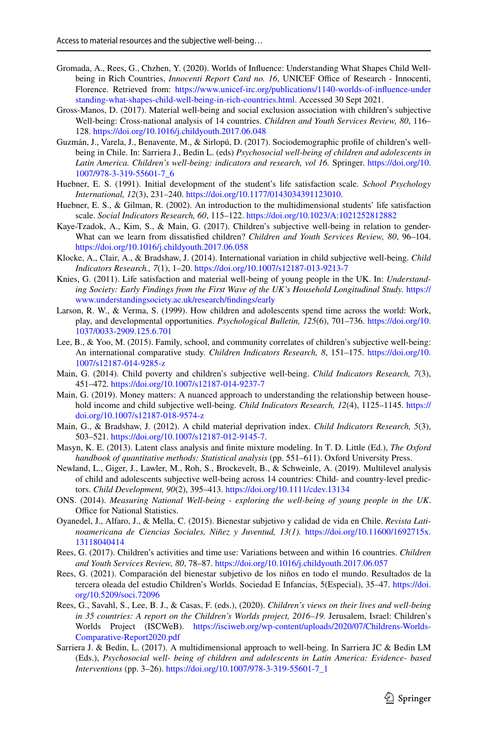- <span id="page-16-18"></span>Gromada, A., Rees, G., Chzhen, Y. (2020). Worlds of Infuence: Understanding What Shapes Child Wellbeing in Rich Countries, *Innocenti Report Card no. 16*, UNICEF Office of Research - Innocenti, Florence. Retrieved from: [https://www.unicef-irc.org/publications/1140-worlds-of-infuence-under](https://www.unicef-irc.org/publications/1140-worlds-of-influence-understanding-what-shapes-child-well-being-in-rich-countries.html) [standing-what-shapes-child-well-being-in-rich-countries.html](https://www.unicef-irc.org/publications/1140-worlds-of-influence-understanding-what-shapes-child-well-being-in-rich-countries.html). Accessed 30 Sept 2021.
- <span id="page-16-10"></span>Gross-Manos, D. (2017). Material well-being and social exclusion association with children's subjective Well-being: Cross-national analysis of 14 countries. *Children and Youth Services Review, 80*, 116– 128.<https://doi.org/10.1016/j.childyouth.2017.06.048>
- <span id="page-16-5"></span>Guzmán, J., Varela, J., Benavente, M., & Sirlopú, D. (2017). Sociodemographic profle of children's wellbeing in Chile. In: Sarriera J., Bedin L. (eds) *Psychosocial well-being of children and adolescents in Latin America. Children's well-being: indicators and research, vol 16.* Springer. [https://doi.org/10.](https://doi.org/10.1007/978-3-319-55601-7_6) [1007/978-3-319-55601-7\\_6](https://doi.org/10.1007/978-3-319-55601-7_6)
- <span id="page-16-15"></span>Huebner, E. S. (1991). Initial development of the student's life satisfaction scale. *School Psychology International, 12*(3), 231–240. <https://doi.org/10.1177/0143034391123010>.
- <span id="page-16-0"></span>Huebner, E. S., & Gilman, R. (2002). An introduction to the multidimensional students' life satisfaction scale. *Social Indicators Research, 60*, 115–122. <https://doi.org/10.1023/A:1021252812882>
- <span id="page-16-4"></span>Kaye-Tzadok, A., Kim, S., & Main, G. (2017). Children's subjective well-being in relation to gender-What can we learn from dissatisfed children? *Children and Youth Services Review, 80*, 96–104. <https://doi.org/10.1016/j.childyouth.2017.06.058>
- <span id="page-16-7"></span>Klocke, A., Clair, A., & Bradshaw, J. (2014). International variation in child subjective well-being. *Child Indicators Research., 7*(1), 1–20.<https://doi.org/10.1007/s12187-013-9213-7>
- <span id="page-16-19"></span>Knies, G. (2011). Life satisfaction and material well-being of young people in the UK. In: *Understanding Society: Early Findings from the First Wave of the UK's Household Longitudinal Study.* [https://](https://www.understandingsociety.ac.uk/research/findings/early) [www.understandingsociety.ac.uk/research/fndings/early](https://www.understandingsociety.ac.uk/research/findings/early)
- <span id="page-16-14"></span>Larson, R. W., & Verma, S. (1999). How children and adolescents spend time across the world: Work, play, and developmental opportunities. *Psychological Bulletin, 125*(6), 701–736. [https://doi.org/10.](https://doi.org/10.1037/0033-2909.125.6.701) [1037/0033-2909.125.6.701](https://doi.org/10.1037/0033-2909.125.6.701)
- <span id="page-16-1"></span>Lee, B., & Yoo, M. (2015). Family, school, and community correlates of children's subjective well-being: An international comparative study. *Children Indicators Research, 8*, 151–175. [https://doi.org/10.](https://doi.org/10.1007/s12187-014-9285-z) [1007/s12187-014-9285-z](https://doi.org/10.1007/s12187-014-9285-z)
- <span id="page-16-8"></span>Main, G. (2014). Child poverty and children's subjective well-being. *Child Indicators Research, 7*(3), 451–472.<https://doi.org/10.1007/s12187-014-9237-7>
- <span id="page-16-20"></span>Main, G. (2019). Money matters: A nuanced approach to understanding the relationship between household income and child subjective well-being. *Child Indicators Research, 12*(4), 1125–1145. [https://](https://doi.org/10.1007/s12187-018-9574-z) [doi.org/10.1007/s12187-018-9574-z](https://doi.org/10.1007/s12187-018-9574-z)
- <span id="page-16-11"></span>Main, G., & Bradshaw, J. (2012). A child material deprivation index. *Child Indicators Research, 5*(3), 503–521. [https://doi.org/10.1007/s12187-012-9145-7.](https://doi.org/10.1007/s12187-012-9145-7)
- <span id="page-16-16"></span>Masyn, K. E. (2013). Latent class analysis and fnite mixture modeling. In T. D. Little (Ed.), *The Oxford handbook of quantitative methods: Statistical analysis* (pp. 551–611). Oxford University Press.
- <span id="page-16-2"></span>Newland, L., Giger, J., Lawler, M., Roh, S., Brockevelt, B., & Schweinle, A. (2019). Multilevel analysis of child and adolescents subjective well-being across 14 countries: Child- and country-level predictors. *Child Development, 90*(2), 395–413.<https://doi.org/10.1111/cdev.13134>
- <span id="page-16-17"></span>ONS. (2014). *Measuring National Well-being - exploring the well-being of young people in the UK*. Office for National Statistics.
- <span id="page-16-6"></span>Oyanedel, J., Alfaro, J., & Mella, C. (2015). Bienestar subjetivo y calidad de vida en Chile. *Revista Latinoamericana de Ciencias Sociales, Niñez y Juventud, 13(1).* [https://doi.org/10.11600/1692715x.](https://doi.org/10.11600/1692715x.13118040414) [13118040414](https://doi.org/10.11600/1692715x.13118040414)
- <span id="page-16-13"></span>Rees, G. (2017). Children's activities and time use: Variations between and within 16 countries. *Children and Youth Services Review, 80*, 78–87. <https://doi.org/10.1016/j.childyouth.2017.06.057>
- <span id="page-16-12"></span>Rees, G. (2021). Comparación del bienestar subjetivo de los niños en todo el mundo. Resultados de la tercera oleada del estudio Children's Worlds. Sociedad E Infancias, 5(Especial), 35–47. [https://doi.](https://doi.org/10.5209/soci.72096) [org/10.5209/soci.72096](https://doi.org/10.5209/soci.72096)
- <span id="page-16-3"></span>Rees, G., Savahl, S., Lee, B. J., & Casas, F. (eds.), (2020). *Children's views on their lives and well-being in 35 countries: A report on the Children's Worlds project, 2016–19.* Jerusalem, Israel: Children's Worlds Project (ISCWeB). [https://isciweb.org/wp-content/uploads/2020/07/Childrens-Worlds-](https://isciweb.org/wp-content/uploads/2020/07/Childrens-Worlds-Comparative-Report2020.pdf)[Comparative-Report2020.pdf](https://isciweb.org/wp-content/uploads/2020/07/Childrens-Worlds-Comparative-Report2020.pdf)
- <span id="page-16-9"></span>Sarriera J. & Bedin, L. (2017). A multidimensional approach to well-being. In Sarriera JC & Bedin LM (Eds.), *Psychosocial well- being of children and adolescents in Latin America: Evidence- based Interventions* (pp. 3–26). [https://doi.org/10.1007/978-3-319-55601-7\\_1](https://doi.org/10.1007/978-3-319-55601-7_1)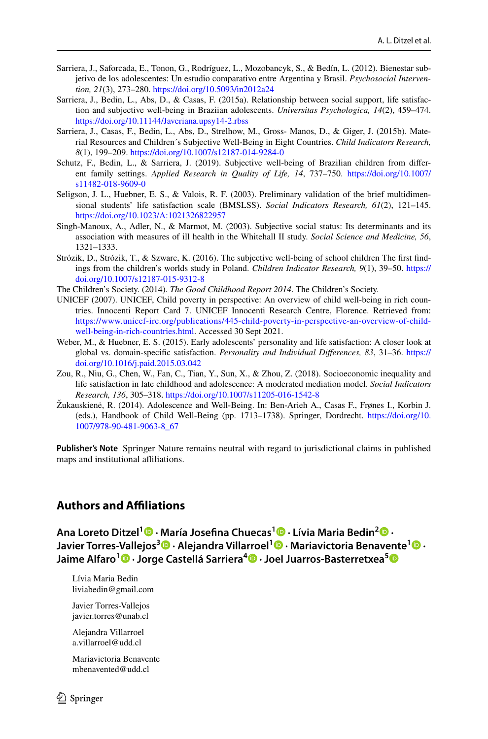- <span id="page-17-5"></span>Sarriera, J., Saforcada, E., Tonon, G., Rodríguez, L., Mozobancyk, S., & Bedín, L. (2012). Bienestar subjetivo de los adolescentes: Un estudio comparativo entre Argentina y Brasil. *Psychosocial Intervention, 21*(3), 273–280. <https://doi.org/10.5093/in2012a24>
- <span id="page-17-4"></span>Sarriera, J., Bedin, L., Abs, D., & Casas, F. (2015a). Relationship between social support, life satisfaction and subjective well-being in Braziian adolescents. *Universitas Psychologica, 14*(2), 459–474. <https://doi.org/10.11144/Javeriana.upsy14-2.rbss>
- <span id="page-17-10"></span>Sarriera, J., Casas, F., Bedin, L., Abs, D., Strelhow, M., Gross- Manos, D., & Giger, J. (2015b). Material Resources and Children´s Subjective Well-Being in Eight Countries. *Child Indicators Research, 8*(1), 199–209.<https://doi.org/10.1007/s12187-014-9284-0>
- <span id="page-17-6"></span>Schutz, F., Bedin, L., & Sarriera, J. (2019). Subjective well-being of Brazilian children from diferent family settings. *Applied Research in Quality of Life, 14*, 737–750. [https://doi.org/10.1007/](https://doi.org/10.1007/s11482-018-9609-0) [s11482-018-9609-0](https://doi.org/10.1007/s11482-018-9609-0)
- <span id="page-17-0"></span>Seligson, J. L., Huebner, E. S., & Valois, R. F. (2003). Preliminary validation of the brief multidimensional students' life satisfaction scale (BMSLSS). *Social Indicators Research, 61*(2), 121–145. <https://doi.org/10.1023/A:1021326822957>
- <span id="page-17-8"></span>Singh-Manoux, A., Adler, N., & Marmot, M. (2003). Subjective social status: Its determinants and its association with measures of ill health in the Whitehall II study. *Social Science and Medicine, 56*, 1321–1333.
- <span id="page-17-2"></span>Strózik, D., Strózik, T., & Szwarc, K. (2016). The subjective well-being of school children The frst fndings from the children's worlds study in Poland. *Children Indicator Research, 9*(1), 39–50. [https://](https://doi.org/10.1007/s12187-015-9312-8) [doi.org/10.1007/s12187-015-9312-8](https://doi.org/10.1007/s12187-015-9312-8)
- <span id="page-17-9"></span>The Children's Society. (2014). *The Good Childhood Report 2014*. The Children's Society.
- <span id="page-17-11"></span>UNICEF (2007). UNICEF, Child poverty in perspective: An overview of child well-being in rich countries. Innocenti Report Card 7. UNICEF Innocenti Research Centre, Florence. Retrieved from: [https://www.unicef-irc.org/publications/445-child-poverty-in-perspective-an-overview-of-child](https://www.unicef-irc.org/publications/445-child-poverty-in-perspective-an-overview-of-child-well-being-in-rich-countries.html)[well-being-in-rich-countries.html.](https://www.unicef-irc.org/publications/445-child-poverty-in-perspective-an-overview-of-child-well-being-in-rich-countries.html) Accessed 30 Sept 2021.
- <span id="page-17-1"></span>Weber, M., & Huebner, E. S. (2015). Early adolescents' personality and life satisfaction: A closer look at global vs. domain-specifc satisfaction. *Personality and Individual Diferences, 83*, 31–36. [https://](https://doi.org/10.1016/j.paid.2015.03.042) [doi.org/10.1016/j.paid.2015.03.042](https://doi.org/10.1016/j.paid.2015.03.042)
- <span id="page-17-7"></span>Zou, R., Niu, G., Chen, W., Fan, C., Tian, Y., Sun, X., & Zhou, Z. (2018). Socioeconomic inequality and life satisfaction in late childhood and adolescence: A moderated mediation model. *Social Indicators Research, 136*, 305–318.<https://doi.org/10.1007/s11205-016-1542-8>
- <span id="page-17-3"></span>Žukauskienė, R. (2014). Adolescence and Well-Being. In: Ben-Arieh A., Casas F., Frønes I., Korbin J. (eds.), Handbook of Child Well-Being (pp. 1713–1738). Springer, Dordrecht. [https://doi.org/10.](https://doi.org/10.1007/978-90-481-9063-8_67) [1007/978-90-481-9063-8\\_67](https://doi.org/10.1007/978-90-481-9063-8_67)

**Publisher's Note** Springer Nature remains neutral with regard to jurisdictional claims in published maps and institutional affiliations.

# **Authors and Afliations**

**Ana Loreto Ditzel<sup>1</sup> · María Josefna Chuecas1 · Lívia Maria Bedin2 · Javier Torres‑Vallejos<sup>3</sup> · Alejandra Villarroel1 · Mariavictoria Benavente1 · Jaime Alfaro<sup>1</sup> · Jorge Castellá Sarriera<sup>4</sup>  [·](http://orcid.org/0000-0001-8297-4957) Joel Juarros‑Basterretxea[5](http://orcid.org/0000-0002-7739-5421)**

Lívia Maria Bedin liviabedin@gmail.com

Javier Torres-Vallejos javier.torres@unab.cl

Alejandra Villarroel a.villarroel@udd.cl

Mariavictoria Benavente mbenavented@udd.cl

 $\circled{2}$  Springer